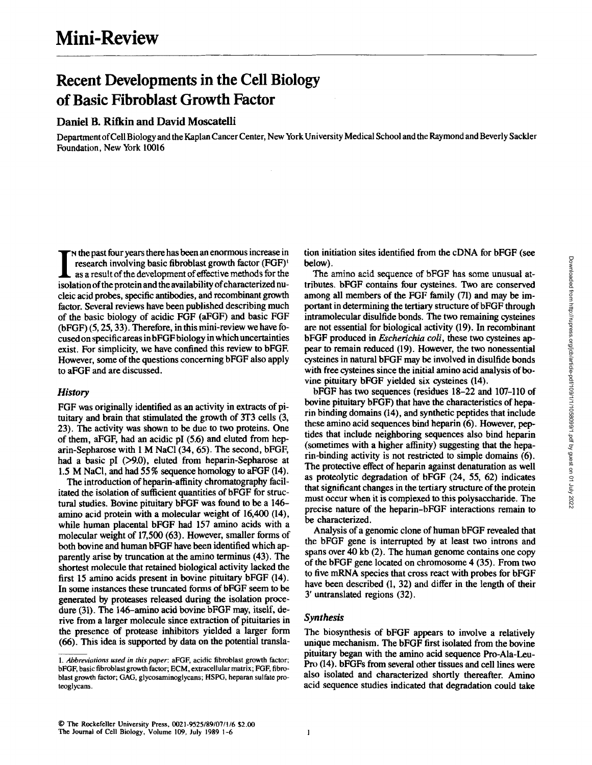# **Recent Developments in the Cell Biology of Basic Fibroblast Growth Factor**

# Daniel B. Rifkin and David Moscatelli

Department of Cell Biology and the Kaplan Cancer Center, New York University Medical School and the Raymond and Beverly Sackler Foundation, New York 10016

I **I** is the past four years there has been an enormous increase in research involving basic fibroblast growth factor (FGF)<sup>t</sup> as a result of the development of effective methods for the research involving basic fibroblast growth factor (FGF)<sup>t</sup> isolation of the protein and the availability of characterized nucleic acid probes, specific antibodies, and recombinant growth factor. Several reviews have been published describing much of the basic biology of acidic FGF (aFGF) and basic FGF (bFGF) (5, 25, 33). Therefore, in this mini-review we have focused on specific areas in bFGF biology in which uncertainties exist. For simplicity, we have confined this review to bFGF. However, some of the questions concerning bFGF also apply to aFGF and are discussed.

# *History*

FGF was originally identified as an activity in extracts of pituitary and brain that stimulated the growth of 3T3 cells (3, 23). The activity was shown to be due to two proteins. One of them, aFGF, had an acidic pI (5.6) and eluted from heparin-Sepharose with I M NaC1 (34, 65). The second, bFGF, had a basic pI (>9.0), eluted from heparin-Sepharose at 1.5 M NaCI, and had 55 % sequence homology to aFGF (14).

The introduction of heparin-affinity chromatography facilitated the isolation of sufficient quantities of bFGF for structural studies. Bovine pituitary bFGF was found to be a 146 amino acid protein with a molecular weight of 16,400 (14), while human placental bFGF had 157 amino acids with a molecular weight of 17,500 (63). However, smaller forms of both bovine and human bFGF have been identified which apparently arise by truncation at the amino terminus (43). The shortest molecule that retained biological activity lacked the first 15 amino acids present in bovine pituitary bFGF (14). In some instances these truncated forms of bFGF seem to be generated by proteases released during the isolation procedure (31). The 146-amino acid bovine bFGF may, itself, derive from a larger molecule since extraction of pituitaries in the presence of protease inhibitors yielded a larger form (66). This idea is supported by data on the potential translation initiation sites identified from the eDNA for bFGF (see below).

The amino acid sequence of bFGF has some unusual attributes, bFGF contains four cysteines. Two are conserved among all members of the FGF family (71) and may be important in determining the tertiary structure of bFGF through intramolecular disulfide bonds. The two remaining cysteines are not essential for biological activity (19). In recombinant bFGF produced in *Escherichia cold,* these two cysteines appear to remain reduced (19). However, the two nonessential cysteines in natural bFGF may be involved in disulfide bonds with free cysteines since the initial amino acid analysis of bovine pituitary bFGF yielded six cysteines (14).

bFGF has two sequences (residues 18-22 and 107-110 of bovine pituitary bFGF) that have the characteristics of heparin binding domains (14), and synthetic peptides that include these amino acid sequences bind heparin (6). However, peptides that include neighboring sequences also bind heparin (sometimes with a higher affinity) suggesting that the beparin-binding activity is not restricted to simple domains (6). The protective effect of heparin against denaturation as well as proteolytic degradation of bFGF (24, 55, 62) indicates that significant changes in the tertiary structure of the protein must occur when it is complexed to this polysaccharide. The precise nature of the heparin-bFGF interactions remain to be characterized.

Analysis of a genomic clone of human bFGF revealed that the bFGF gene is interrupted by at least two introns and spans over 40 kb (2). The human genome contains one copy of the bFGF gene located on chromosome 4 (35). From two to five mRNA species that cross react with probes for bFGF have been described (1, 32) and differ in the length of their 3' untranslated regions (32).

#### *Synthesis*

The biosynthesis of bFGF appears to involve a relatively unique mechanism. The bFGF first isolated from the bovine pituitary began with the amino acid sequence Pro-Ala-Leu-Pro (14). bFGFs from several other tissues and cell lines were also isolated and characterized shortly thereafter. Amino acid sequence studies indicated that degradation could take

<sup>1.</sup> Abbreviations used in this paper: aFGF, acidic fibroblast growth factor; bFGF, basic fibroblast growth factor; ECM, extracellular matrix; FGF, fibroblast growth factor; GAG, glyeosaminoglyeans; HSPG, heparan sulfate proteoglyeans.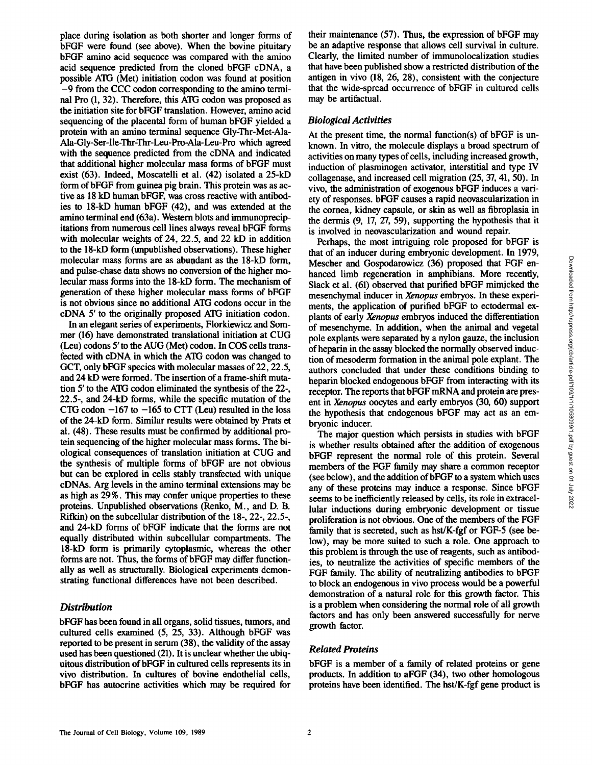place during isolation as both shorter and longer forms of bFGF were found (see above). When the bovine pituitary bFGF amino acid sequence was compared with the amino acid sequence predicted from the cloned bFGF cDNA, a possible ATG (Met) initiation codon was found at position -9 from the CCC codon corresponding to the amino terminal Pro (1, 32). Therefore, this ATG codon was proposed as the initiation site for bFGF translation. However, amino acid sequencing of the placental form of human bFGF yielded a protein with an amino terminal sequence Gly-Thr-Met-Ala-Ala-Gly-Ser-Ile-Thr-Thr-Leu-Pro-Ala-Leu-Pro which agreed with the sequence predicted from the cDNA and indicated that additional higher molecular mass forms of bFGF must exist (63). Indeed, Moscatelli et al. (42) isolated a 25-kD form of bFGF from guinea pig brain. This protein was as active as 18 kD human bFGF, was cross reactive with antibodies to 18-kD human bFGF (42), and was extended at the amino terminal end (63a). Western blots and immunoprecipitations from numerous cell lines always reveal bFGF forms with molecular weights of 24, 22.5, and 22 kD in addition to the 18-kD form (unpublished observations). These higher molecular mass forms are as abundant as the 18-kD form, and pulse-chase data shows no conversion of the higher molecular mass forms into the 18-kD form. The mechanism of generation of these higher molecular mass forms of bFGF is not obvious since no additional ATG codons occur in the cDNA 5' to the originally proposed ATG initiation codon.

In an elegant series of experiments, Florkiewicz and Sommer (16) have demonstrated translational initiation at CUG (Leu) codons 5' to the AUG (Met) codon. In COS cells transfected with cDNA in which the ATG codon was changed to GCT, only bFGF species with molecular masses of 22, 22.5, and 24 kD were formed. The insertion of a frame-shift mutation 5' to the ATG codon eliminated the synthesis of the 22-, 22.5-, and 24-kD forms, while the specific mutation of the CTG codon  $-167$  to  $-165$  to CTT (Leu) resulted in the loss of the 24-kD form. Similar results were obtained by Prats et al. (48). These results must be confirmed by additional protein sequencing of the higher molecular mass forms. The biological consequences of translation initiation at CUG and the synthesis of multiple forms of bFGF are not obvious but can be explored in cells stably transfected with unique cDNAs. Arg levels in the amino terminal extensions may be as high as 29 %. This may confer unique properties to these proteins. Unpublished observations (Renko, M., and D. B. Rifkin) on the suhcellular distribution of the 18-, 22-, 22.5-, and 24-kD forms of bFGF indicate that the forms are not equally distributed within subcellular compartments. The 18-kD form is primarily cytoplasmic, whereas the other forms are not. Thus, the forms of bFGF may differ functionally as well as structurally. Biological experiments demonstrating functional differences have not been described.

## *Distribution*

bFGF has been found in all organs, solid tissues, tumors, and cultured cells examined (5, 25, 33). Although bFGF was reported to be present in serum (38), the validity of the assay used has been questioned (21). It is unclear whether the ubiquitous distribution of bFGF in cultured cells represents its in vivo distribution. In cultures of bovine endothelial cells, bFGF has autocrine activities which may be required for

their maintenance (57). Thus, the expression of bFGF may be an adaptive response that allows cell survival in culture. Clearly, the limited number of immunolocalization studies that have been published show a restricted distribution of the antigen in vivo (18, 26, 28), consistent with the conjecture that the wide-spread occurrence of bFGF in cultured cells may be artifactual.

## *Biological Activities*

At the present time, the normal function(s) of bFGF is unknown. In vitro, the molecule displays a broad spectrum of activities on many types of cells, including increased growth, induction of plasminogen activator, interstitial and type IV collagenase, and increased cell migration (25, 37, 41, 50). In vivo, the administration of exogenous bFGF induces a variety of responses, bFGF causes a rapid neovascularization in the cornea, kidney capsule, or skin as well as fibroplasia in the dermis (9, 17, 27, 59), supporting the hypothesis that it is involved in neovascularization and wound repair.

Perhaps, the most intriguing role proposed for bFGF is that of an inducer during embryonic development. In 1979, Mescher and Gospodarowicz (36) proposed that FGF enhanced limb regeneration in amphibians. More recently, Slack et al. (61) observed that purified bFGF mimicked the mesenchymal inducer in Xenopus embryos. In these experiments, the application of purified bFGF to ectodermal explants of early *Xenopus* embryos induced the differentiation of mesenchyme. In addition, when the animal and vegetal pole explants were separated by a nylon gauze, the inclusion of heparin in the assay blocked the normally observed induction of mesoderm formation in the animal pole explant. The authors concluded that under these conditions binding to heparin blocked endogenous bFGF from interacting with its receptor. The reports that bFGF mRNA and protein are present in *Xenopus* oocytes and early embryos (30, 60) support the hypothesis that endogenous bFGF may act as an embryonic inducer.

The major question which persists in studies with bFGF is whether results obtained after the addition of exogenous bFGF represent the normal role of this protein. Several members of the FGF family may share a common receptor (see below), and the addition of bFGF to a system which uses any of these proteins may induce a response. Since bFGF seems to be inefficiently released by cells, its role in extracellular inductions during embryonic development or tissue proliferation is not obvious. One of the members of the FGF family that is secreted, such as hst/K-fgf or FGF-5 (see below), may be more suited to such a role. One approach to this problem is through the use of reagents, such as antibodies, to neutralize the activities of specific members of the FGF family. The ability of neutralizing antibodies to bFGF to block an endogenous in vivo process would be a powerful demonstration of a natural role for this growth factor. This is a problem when considering the normal role of all growth factors and has only been answered successfully for nerve growth factor.

# *Related Proteins*

bFGF is a member of a family of related proteins or gene products. In addition to aFGF (34), two other homologous proteins have been identified. The hst/K-fgf gene product is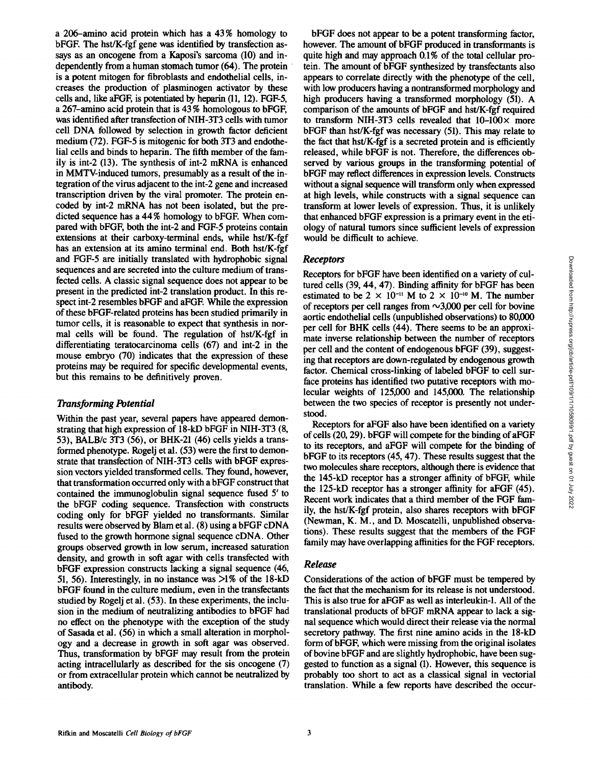a 206-amino acid protein which has a 43 % homology to bFGE The hst/K-fgf gene was identified by transfection assays as an oncogene from a Kaposi's sarcoma (10) and independently from a human stomach tumor (64). The protein is a potent mitogen for fibroblasts and endothelial cells, increases the production of plasminogen activator by these cells and, like aFGF, is potentiated by heparin (11, 12). FGF-5, a 267-amino acid protein that is 43 % homologous to bFGF, was identified after transfection of NIH-3T3 cells with tumor cell DNA followed by selection in growth factor deficient medium (72). FGF-5 is mitogenic for both 3T3 and endothelial cells and binds to heparin. The fifth member of the family is int-2 (13). The synthesis of int-2 mRNA is enhanced in MMTV-induced tumors, presumably as a result of the integration of the virus adjacent to the int-2 gene and increased transcription driven by the viral promoter. The protein encoded by int-2 mRNA has not been isolated, but the predicted sequence has a 44% homology to bFGE When compared with bFGF, both the int-2 and FGF-5 proteins contain extensions at their carboxy-terminal ends, while hst/K-fgf has an extension at its amino terminal end. Both hst/K-fgf and FGF-5 are initially translated with hydrophobic signal sequences and are secreted into the culture medium of transfected cells. A classic signal sequence does not appear to be present in the predicted int-2 translation product. In this respect int-2 resembles bFGF and aFGF. While the expression of these bFGF-related proteins has been studied primarily in tumor cells, it is reasonable to expect that synthesis in normal cells will be found. The regulation of hst/K-fgf in differentiating teratocarcinoma cells (67) and int-2 in the mouse embryo (70) indicates that the expression of these proteins may be required for specific developmental events, but this remains to be definitively proven.

# *Transforming Potential*

Within the past year, several papers have appeared demonstrating that high expression of 18-kD bFGF in NIH-3T3 (8, 53), BALB/c 3T3 (56), or BHK-21 (46) cells yields a transformed phenotype. Rogelj et al. (53) were the first to demonstrate that transfection of NIH-3T3 cells with bFGF expression vectors yielded transformed cells. They found, however, that transformation occurred only with a bFGF construct that contained the immunoglobulin signal sequence fused 5' to the bFGF coding sequence. Transfection with constructs coding only for bFGF yielded no transformants. Similar results were observed by Blam et al. (8) using a bFGF cDNA fused to the growth hormone signal sequence cDNA. Other groups observed growth in low serum, increased saturation density, and growth in soft agar with cells transfected with bFGF expression constructs lacking a signal sequence (46, 51, 56). Interestingly, in no instance was  $>1\%$  of the 18-kD bFGF found in the culture medium, even in the transfectants studied by Rogelj et al. (53). In these experiments, the inclusion in the medium of neutralizing antibodies to bFGF had no effect on the phenotype with the exception of the study of Sasada et al. (56) in which a small alteration in morphology and a decrease in growth in soft agar was observed. Thus, transformation by bFGF may result from the protein acting intracellularly as described for the sis oncogene (7) or from extracellular protein which cannot be neutralized by antibody.

bFGF does not appear to be a potent transforming factor, however. The amount of bFGF produced in transformants is quite high and may approach 0.1% of the total cellular protein. The amount of bFGF synthesized by transfectants also appears to correlate directly with the phenotype of the cell, with low producers having a nontransformed morphology and high producers having a transformed morphology (51). A comparison of the amounts of bFGF and hst/K-fgf required to transform NIH-3T3 cells revealed that  $10-100\times$  more bFGF than hst/K-fgf was necessary (51). This may relate to the fact that hst/K-fgf is a secreted protein and is efficiently released, while bFGF is not. Therefore, the differences observed by various groups in the transforming potential of bFGF may reflect differences in expression levels. Constructs without a signal sequence will transform only when expressed at high levels, while constructs with a signal sequence can transform at lower levels of expression. Thus, it is unlikely that enhanced bFGF expression is a primary event in the etiology of natural tumors since sufficient levels of expression would be difficult to achieve.

# *Receptors*

Receptors for bFGF have been identified on a variety of cultured cells (39, 44, 47). Binding affinity for bFGF has been estimated to be  $2 \times 10^{-11}$  M to  $2 \times 10^{-10}$  M. The number of receptors per cell ranges from  $\sim$ 3,000 per cell for bovine aortic endothelial cells (unpublished observations) to 80,000 per cell for BHK cells (44). There seems to be an approximate inverse relationship between the number of receptors per cell and the content of endogenous bFGF (39), suggesting that receptors are down-regulated by endogenous growth factor. Chemical cross-linking of labeled bFGF to cell surface proteins has identified two putative receptors with molecular weights of 125,000 and 145,000. The relationship between the two species of receptor is presently not understood.

Receptors for aFGF also have been identified on a variety of cells (20, 29). bFGF will compete for the binding of aFGF to its receptors, and aFGF will compete for the binding of bFGF to its receptors (45, 47). These results suggest that the two molecules share receptors, although there is evidence that the 145-kD receptor has a stronger affinity of bFGF, while the 125-kD receptor has a stronger affinity for a FGF  $(45)$ . Recent work indicates that a third member of the FGF family, the hst/K-fgf protein, also shares receptors with bFGF (Newman, K. M., and D. Moscatelli, unpublished observations). These results suggest that the members of the FGF family may have overlapping affinities for the FGF receptors.

## *Release*

Considerations of the action of bFGF must be tempered by the fact that the mechanism for its release is not understood. This is also true for aFGF as well as interleukin-1. All of the translational products of bFGF mRNA appear to lack a signal sequence which would direct their release via the normal secretory pathway. The first nine amino acids in the 18-kD form of bFGF, which were missing from the original isolates of bovine bFGF and are slightly hydrophobic, have been suggested to function as a signal (1). However, this sequence is probably too short to act as a classical signal in vectorial translation. While a few reports have described the occur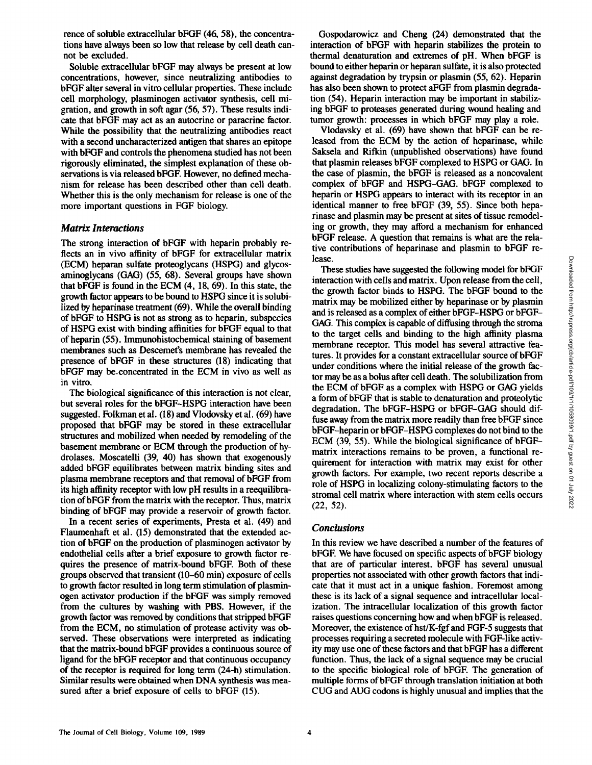rence of soluble extracellular bFGF (46, 58), the concentrations have always been so low that release by cell death cannot be excluded.

Soluble extracellular bFGF may always be present at low concentrations, however, since neutralizing antibodies to bFGF alter several in vitro cellular properties. These include cell morphology, plasminogen activator synthesis, cell migration, and growth in soft agar (56, 57). These results indicate that bFGF may act as an autocrine or paracrine factor. While the possibility that the neutralizing antibodies react with a second uncharacterized antigen that shares an epitope with bFGF and controls the phenomena studied has not been rigorously eliminated, the simplest explanation of these observations is via released bFGE However, no defined mechanism for release has been described other than cell death. Whether this is the only mechanism for release is one of the more important questions in FGF biology.

#### *Matrix Interactions*

The strong interaction of bFGF with heparin probably reflects an in vivo affinity of bFGF for extracellular matrix (ECM) heparan sulfate proteoglycans (HSPG) and glycosaminoglycans (GAG) (55, 68). Several groups have shown that bFGF is found in the ECM (4, 18, 69). In this state, the growth factor appears to be bound to HSPG since it is solubilized by heparinase treatment (69). While the overall binding of bFGF to HSPG is not as strong as to heparin, subspecies of HSPG exist with binding affinities for bFGF equal to that of heparin (55). Immunohistochemical staining of basement membranes such as Descemet's membrane has revealed the presence of bFGF in these structures (18) indicating that bFGF may be.concentrated in the ECM in vivo as well as in vitro.

The biological significance of this interaction is not clear, but several roles for the bFGF-HSPG interaction have been suggested. Folkman et al. (18) and Vlodovsky et al. (69) have proposed that bFGF may be stored in these extracellular structures and mobilized when needed by remodeling of the basement membrane or ECM through the production of hydrolases. Moscatelli (39, 40) has shown that exogenously added bFGF equilibrates between matrix binding sites and plasma membrane receptors and that removal of bFGF from its high affinity receptor with low pH results in a reequilibration ofbFGF from the matrix with the receptor. Thus, matrix binding of bFGF may provide a reservoir of growth factor.

In a recent series of experiments, Presta et al. (49) and Flaumenhaft et al. (15) demonstrated that the extended action of bFGF on the production of plasminogen activator by endothelial cells after a brief exposure to growth factor requires the presence of matrix-bound bFGE Both of these groups observed that transient (10-60 min) exposure of cells to growth factor resulted in long term stimulation of plasminogen activator production if the bFGF was simply removed from the cultures by washing with PBS. However, if the growth factor was removed by conditions that stripped bFGF from the ECM, no stimulation of protease activity was observed. These observations were interpreted as indicating that the matrix-bound bFGF provides a continuous source of ligand for the bFGF receptor and that continuous occupancy of the receptor is required for long term (24-h) stimulation. Similar results were obtained when DNA synthesis was measured after a brief exposure of cells to bFGF (15).

Gospodarowicz and Cheng (24) demonstrated that the interaction of bFGF with heparin stabilizes the protein to thermal denaturation and extremes of pH. When bFGF is bound to either heparin or heparan sulfate, it is also protected against degradation by trypsin or plasrnin (55, 62). Heparin has also been shown to protect aFGF from plasmin degradation (54). Heparin interaction may be important in stabilizing bFGF to proteases generated during wound healing and tumor growth: processes in which bFGF may play a role.

Vlodavsky et al. (69) have shown that bFGF can be released from the ECM by the action of heparinasc, while Saksela and Rifkin (unpublished observations) have found that plasmin releases bFGF complexed to HSPG or GAG. In the case of plasmin, the bFGF is released as a noncovalent complex of bFGF and HSPG-GAG. bFGF complexed to heparin or HSPG appears to interact with its receptor in an identical manner to free bFGF (39, 55). Since both heparinase and plasmin may be present at sites of tissue remodeling or growth, they may afford a mechanism for enhanced bFGF release. A question that remains is what are the relative contributions of hcparinase and plasmin to bFGF release.

These studies have suggested the following model for bFGF interaction with cells and matrix. Upon release from the cell, the growth factor binds to HSPG. The bFGF bound to the matrix may be mobilized either by hcparinase or by plasmin and is released as a complex of either bFGF-HSPG or bFGF-GAG. This complex is capable of diffusing through the stroma to the target cells and binding to the high affinity plasma membrane receptor. This model has several attractive features. It provides for a constant cxtracellular source of bFGF under conditions where the initial release of the growth factor may be as a bolus after cell death. The solubilization from the ECM of bFGF as a complex with HSPG or GAG yields a form of bFGF that is stable to denaturation and proteolytic degradation. The bFGF-HSPG or bFGF-GAG should diffuse away from the matrix more readily than free bFGF since bFGF-hcparin or bFGF-HSPG complexes do not bind to the ECM (39, 55). While the biological significance of bFGFmatrix interactions remains to be proven, a functional requirement for interaction with matrix may exist for other growth factors. For example, two recent reports describe a role of HSPG in localizing colony-stimulating factors to the stromal cell matrix where interaction with stem cells occurs (22, 52).

## *Conclusions*

In this review we have described a number of the features of bFGF. We have focused on specific aspects of bFGF biology that are of particular interest, bFGF has several unusual properties not associated with other growth factors that indicate that it must act in a unique fashion. Foremost among these is its lack of a signal sequence and intracellular localization. The intracellular localization of this growth factor raises questions concerning how and when bFGF is released. Moreover, the existence of hst/K-fgf and FGF-5 suggests that processes requiring a secreted molecule with FGF-like activity may use one of these factors and that bFGF has a different function. Thus, the lack of a signal sequence may be crucial to the specific biological role of bFGE The generation of multiple forms of bFGF through translation initiation at both CUG and AUG codons is highly unusual and implies that the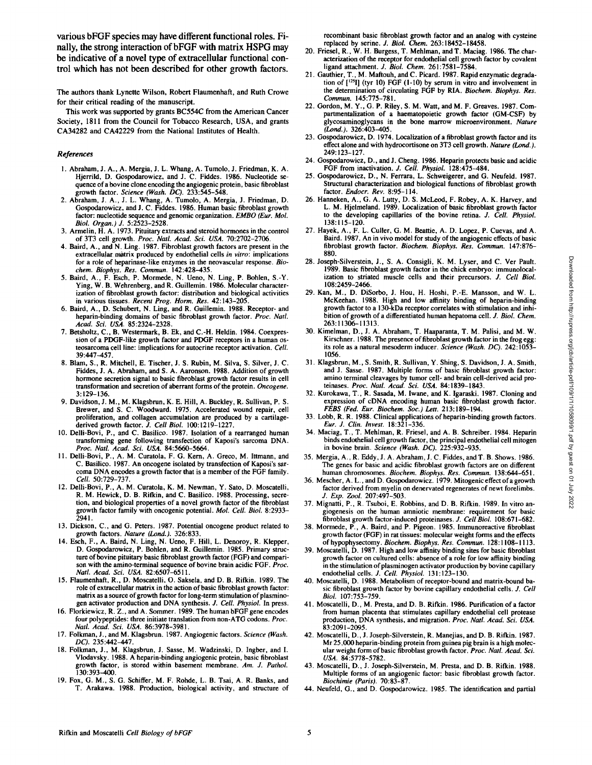**various bFGF species may have different functional roles. Finally, the strong interaction ofbFGF with matrix HSPG may be indicative of a novel type of extracellular functional control which has not been described for other growth factors.** 

The authors thank Lynette Wilson, Robert Flaumenhaft, and Ruth Crowe for their critical reading of the manuscript.

This work was supported by grants BC554C from the American Cancer Society, 1811 from the Council for Tobacco Research, USA, and grants CA34282 and CA42229 from the National Institutes of Health.

#### *References*

- 1. Abraham, J. A., A. Mergia, J. L. Whang, A. Tumolo, J. Friedman, K. A. Hjerrild, D. Gospodarowicz, and J. C. Fiddes. 1986. Nucleotide sequence of a bovine clone encoding the angiogenic protein, basic fibroblast growth factor. *Science (Wash. DC).* 233:545-548.
- 2. Abraham, J. A., J. L. Whang, A. Tumolo, A. Mergia, J. Friedman, D. Gospodarowicz, and J. C. Fiddes. 1986. Human basic fibroblast growth factor: nucleotide sequence and genomic organization. *EMBO (Fur. Mol. Biol. Organ.)J.* 5:2523-2528.
- 3. Armelin, H. A. 1973. Pituitary extracts and steroid hormones in the control of 3T3 cell growth. *Proc. Natl. Acad. Sci. USA.* 70:2702-2706.
- 4. Baird, A., and N. Ling. 1987. Fibroblast growth factors are present in the extracellular matrix produced by endothelial cells *in vitro*: implications for a role of heparinase-like enzymes in the neovascular response. *Biochem. Biophys. Res. Commun.* 142:428-435.
- 5. Baird, A., F. Esch, P. Mormede, N. Ueno, N. Ling, P. Bohlen, S.-Y. Ying, W. B. Wehrenberg, and R. Guillemin. 1986. Molecular characterization of fibroblast growth factor: distribution and biological activities in various tissues. *Recent Prog. Horm. Res.* 42:143-205.
- 6. Baird, A., D. Schubert, N. Ling, and R. Guillemin. 1988. Receptor- and heparin-binding domains of basic fibroblast growth factor. *Proc. Natl. Acad. Sci. USA.* 85:2324-2328.
- 7. Betsholtz, C., B. Westermark, B. Ek, and C.-H. Heldin. 1984. Coexpression of a PDGF-like growth factor and PDGF receptors in a human osteosarcoma cell line: implications for autocrine receptor activation. *Cell.*  39:447-457.
- 8. Blam, S., R. Mitchell, E. Tischer, J. S. Rubin, M. Silva, S. Silver, J. C. Fiddes, J. A. Abraham, and S. A. Aaronson. 1988. Addition of growth hormone secretion signal to basic fibroblast growth factor results in cell transformation and secretion of aberrant forms of the protein. *Oncogene.*  3:129-136.
- 9. Davidson, J. M., M. Klagsbrun, K. E. Hill, A. Buckley, R. Sullivan, P. S. Brewer, and S. C. Woodward. 1975. Accelerated wound repair, cell proliferation, and collagen accumulation are produced by a cartilage-
- derived growth factor. *J. Cell Biol.* 100:1219-1227. 10. Delli-Bovi, P., and C. Basilico. 1987. Isolation of a rearranged human transforming gene following transfection of Kaposi's sarcoma DNA. *Proc. Natl. Acad. Sci. USA.* 84:5660-5664.
- 11. Delli-Bovi, P., A. M. Curatola, F. G. Kern, A. Greco, M. Ittmann, and C. Basilico. 1987. An oncogene isolated by transfection of Kaposi's sarcoma DNA encodes a growth factor that is a member of the FGF family. *Cell.* 50:729-737.
- 12. Dclli-Bovi, P., A. M. Curatola, K. M. Newman, Y. Sato, D. Moscatelli, R. M. Hewick, D. B. Rifkin, and C. Basilico. 1988. Processing, secretion, and biological properties of a novel growth factor of the fibroblast growth factor family with oncogenic potential. *MoL Cell. Biol.* 8:2933- 2941.
- 13. Dickson, C., and G. Peters. 1987. Potential oncogene product related to growth factors. *Nature (Lond.).* 326:833.
- 14. Esch, F., A. Baird, N. Ling, N. Ueno, F. Hill, L. Denoroy, R. Klepper, D. Gospodarowicz, P. Bohlen, and R. Guillemin. 1985. Primary structure of bovine pituitary basic fibroblast growth factor (FGF) and comparison with the amino-terminal sequence of bovine brain acidic FGF. *Proc. Natl. Acad. Sci. USA.* 82:6507-6511.
- 15. Flaumenhaft, R., D. Moscatelli, O. Saksela, and D. B. Rifkin. 1989. The role of extracellular matrix in the action of basic fibroblast growth factor: matrix as a source of growth factor for long-term stimulation of plasminogen activator production and DNA synthesis. *J. Cell. Physiol.* In press.
- 16. Florkiewicz, R. Z., and A. Sommer. 1989. The human bFGF gene encodes four polypeptides: three initiate translation from non-ATG codons. *Proc. Natl. Acad. Sci. USA.* 86:3978-3981.
- 17. Folkman, J., and M. Klagsbrun. 1987. Angiogenic factors. *Science (Wash. DC).* 235:442-447.
- 18. Folkman, I., M. Klagsbrun, J. Sasse, M. Wadzinski, D. Ingber, and I. Vlodavsky. 1988. A heparin-binding angiogenic protein, basic fibroblast growth factor, is stored within basement membrane. *Am. J. Pathol.*  130:393--400.
- 19. Fox, G. M., S. G. Schiffer, M. F. Rohde, L. B. Tsai, A. R. Banks, and T. Arakawa. 1988. Production, biological activity, and structure of

recombinant basic fibroblast growth factor and an analog with cysteine replaced by serine. *J. Biol. Chem.* 263:18452-18458.

- 20. Friesel, R., W. H. Burgess, T. Mehlman, and T. Maciag. 1986. The characterization of the receptor for endothelial cell growth factor by covalent ligand attachment. *J. Biol. Chem.* 261:7581-7584.
- 2 I. Gauthier, T., M. Maftouh, and C. Picard. 1987. Rapid enzymatic degradation of [<sup>125</sup>I] (tyr 10) FGF (1-10) by serum in vitro and involvement in the determination of circulating FGF by RIA. *Biochem. Biophys. Res.*
- *Commun.* 145:775-781. 22. Gordon, M. Y., G. P. Riley, S. M. Watt, and M. F. Greaves. 1987. Compartmentalization of a haematopoietic growth factor (GM-CSF) by glycosaminoglycans in the bone marrow microenvironment. *Nature*  (Lond.). 326:403-405.
- 23. Gospodarowicz, D. 1974. Localization of a fibroblast growth factor and its effect alone and with hydrocortisone on 3T3 cell growth. *Nature (Lond.).*  249:123-127.
- 24. Gospodarowicz, D., and J. Cheng. 1986. Heparin protects basic and acidic FGF from inactivation. *J. Cell. Physiol.* 128:475-484.
- 25. Gospodarowicz, D., N. Ferrara, L. Schweigerer, and G. Neufeld. 1987. Structural characterization and biological functions of fibroblast growth factor. *Endocr. Rev.* 8:95-114.
- 26. Hanneken, A., G. A. Lutty, D. S. McLeod, F. Robey, A. K. Harvey, and L. M. Hjelmeland. 1989. Localization of basic fibroblast growth factor to the developing capillaries of the bovine retina. *J. Cell. Physiol.*  138:115-120.
- 27. Hayek, A., F. L. Culler, G. M. Beattie, A. D. Lopez, P. Cuevas, and A. Baird. 1987. An in *vivo* model for study of the angiogenic effects of basic fihroblast growth factor. *Biochem. Biophys. Res. Commun.* 147:876- 880.
- 28. Joseph-Silverstein, J., S. A. Consigli, K. M. Lyser, and C. Vet Pault. 1989. Basic fibroblast growth factor in the chick embryo: immunolocalization to striated muscle cells and their precursors. *J. Cell Biol.*  108: 2459-2466.
- 29. Kan, M., D. DiSorbo, J. Hou, H. Hoshi, P.-E. Mansson, and W. L. McKeehan. 1988. High and low affinity binding of heparin-binding growth factor to **a 130-kDa** receptor correlates with stimulation and inhibition of growth of a differentiated human hepatoma cell. *J. Biol. Chem.*  263:11306-11313.
- 30. Kimelman, D., J. A. Abraham, T. Haaparanta, T. M. Palisi, and M. W. Kirschner. 1988. The presence of fibroblast growth factor in the frog egg: its role as a natural mesoderm inducer. *Science (Wash. DC).* 242:1053- 1056.
- 31. Klagsbrun, M., S. Smith, R. Sullivan, Y. Shing, S. Davidson, J. A. Smith, and J. Sasse. 1987. Multiple forms of basic fibroblast growth factor: amino terminal cleavages by tumor cell- and brain cell-derived acid proteinases. *Proc. Natl. Acad. Sci. USA.* 84:1839-1843.
- 32. Kurokawa, T., R. Sasada, M. lwane, and K. Igaraski. 1987. Cloning and expression of cDNA encoding human basic fibroblast growth factor. *FEBS (Fed. Fur. Biochem. Soc.) Left.* 213:189-194.
- 33. Lohb, R. R. 1988. Clinical applications of heparin-binding growth factors. *Fur. J. Clin. Invest.* 18:321-336.
- 34. Maciag, T., T. Mehlman, R. Friesel, and A. B. Schreiber. 1984. Heparin binds endothelial cell growth factor, the principal endothelial cell mitogen in bovine brain. *Science (Wash. DC).* 225:932-935.
- 35. Mergia, A., R. Eddy, J. A. Abraham, L C. Fiddes, and T. B. Shows. 1986. The genes for basic and acidic fibroblast growth factors are on different human chromosomes. *Biochem. Biophys. Res. Commun.* 138:644-651.
- 36. Mescher, A. L., and D. Gospodarowicz. 1979. Mitogenic effect of a growth factor derived from myelin on denervated regenerates of newt forelimbs. *J. Exp. 7,ool.* 207:497-503.
- 37. Mignatti, P., R. Tsuboi, E. Robbins, and D. B. Rifkin. 1989. In vitro angiogenesis on the human amniotic membrane: requirement for basic fihrohlast growth factor-induced proteinases. *J. Cell Biol.* 108:671-682.
- 38. Mormede, P., A. Baird, and P. Pigeon. 1985. lmmunoreactive fibroblast growth factor (FGF) in rat tissues: molecular weight forms and the effects of hypophysectomy. *Biochem. Biophys. Res. Commun.* 128:1108- I I 13.
- 39. Moscatelli, D. 1987. High and low affinity binding sites for basic fibroblast growth factor on cultured cells: absence of a role for low affinity binding in the stimulation of plasminogen activator production by bovine capillary endothelial cells. *J. Cell. Physiol.* 131:123-130.
- 40. Moscatelli, D. 1988. Metabolism of receptor-bound and matrix-bound basic fibroblast growth factor by bovine capillary endothelial cells. *J. Cell Biol.* 107:753-759.
- 41. Moscatelli, D., M. Presta, and D. B. Rifkin. 1986. Purification of a factor from human placenta that stimulates capillary endothelial cell protease production, DNA synthesis, and migration. *Proc. Natl. Acad. Sci. USA.*  83:2091-2095.
- 42. Moscatelli, D., J. Joseph-Silverstein, R. Manejias, and D. B. Rifkin. 1987. Mr 25,000 heparin-binding protein from guinea pig brain is a high molecular weight form of basic fibroblast growth factor. *Proc. Natl. Acad. Sci. USA.* 84:5778-5782.
- 43. Moscatelli, D., J. Joseph-Silverstein, M. Presta, and D. B. Rifkin. 1988. Multiple forms of an angiogenic factor: basic fibroblast growth factor. *Biochimie (Paris).* 70:83-87.
- 44. Neufeld, G., and D. Gospodarowicz. 1985. The identifcation and partial